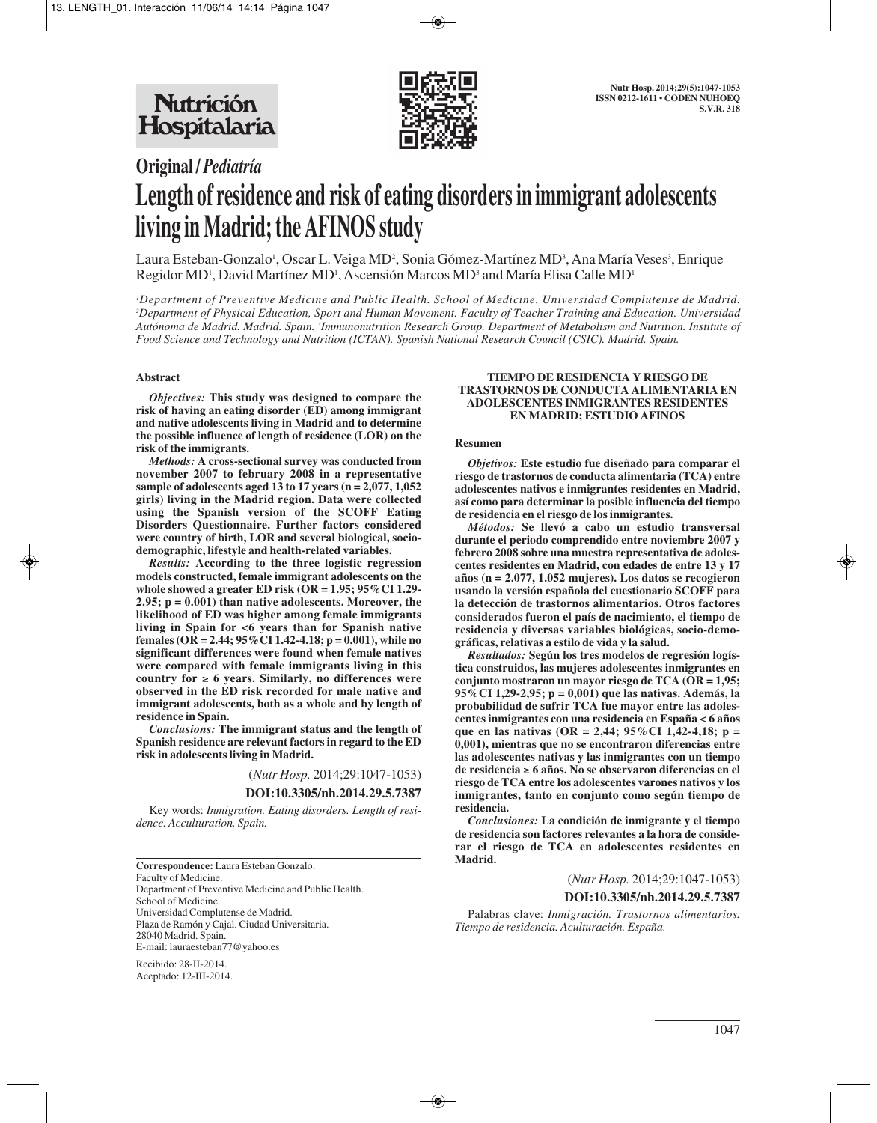

# **Original /** *Pediatría* **Length of residence and risk of eating disorders in immigrant adolescents living in Madrid; the AFINOS study**

Laura Esteban-Gonzalo<sup>1</sup>, Oscar L. Veiga MD<sup>2</sup>, Sonia Gómez-Martínez MD<sup>3</sup>, Ana María Veses<sup>3</sup>, Enrique Regidor MD', David Martínez MD', Ascensión Marcos MD<sup>3</sup> and María Elisa Calle MD'

*1 Department of Preventive Medicine and Public Health. School of Medicine. Universidad Complutense de Madrid. 2 Department of Physical Education, Sport and Human Movement. Faculty of Teacher Training and Education. Universidad Autónoma de Madrid. Madrid. Spain. 3 Immunonutrition Research Group. Department of Metabolism and Nutrition. Institute of Food Science and Technology and Nutrition (ICTAN). Spanish National Research Council (CSIC). Madrid. Spain.*

#### **Abstract**

*Objectives:* **This study was designed to compare the risk of having an eating disorder (ED) among immigrant and native adolescents living in Madrid and to determine the possible influence of length of residence (LOR) on the risk of the immigrants.**

*Methods:* **A cross-sectional survey was conducted from november 2007 to february 2008 in a representative sample of adolescents aged 13 to 17 years (n = 2,077, 1,052 girls) living in the Madrid region. Data were collected using the Spanish version of the SCOFF Eating Disorders Questionnaire. Further factors considered were country of birth, LOR and several biological, sociodemographic, lifestyle and health-related variables.** 

*Results:* **According to the three logistic regression models constructed, female immigrant adolescents on the whole showed a greater ED risk (OR = 1.95; 95%CI 1.29- 2.95; p = 0.001) than native adolescents. Moreover, the likelihood of ED was higher among female immigrants living in Spain for <6 years than for Spanish native females (OR = 2.44; 95%CI 1.42-4.18; p = 0.001), while no significant differences were found when female natives were compared with female immigrants living in this country for** ≥ **6 years. Similarly, no differences were observed in the ED risk recorded for male native and immigrant adolescents, both as a whole and by length of residence in Spain.**

*Conclusions:* **The immigrant status and the length of Spanish residence are relevant factors in regard to the ED risk in adolescents living in Madrid.**

(*Nutr Hosp.* 2014;29:1047-1053)

#### **DOI:10.3305/nh.2014.29.5.7387**

Key words: *Inmigration. Eating disorders. Length of residence. Acculturation. Spain.*

**Correspondence:** Laura Esteban Gonzalo. Faculty of Medicine. Department of Preventive Medicine and Public Health. School of Medicine. Universidad Complutense de Madrid. Plaza de Ramón y Cajal. Ciudad Universitaria. 28040 Madrid. Spain. E-mail: lauraesteban77@yahoo.es

Recibido: 28-II-2014. Aceptado: 12-III-2014.

#### **TIEMPO DE RESIDENCIA Y RIESGO DE TRASTORNOS DE CONDUCTA ALIMENTARIA EN ADOLESCENTES INMIGRANTES RESIDENTES EN MADRID; ESTUDIO AFINOS**

#### **Resumen**

*Objetivos:* **Este estudio fue diseñado para comparar el riesgo de trastornos de conducta alimentaria (TCA) entre adolescentes nativos e inmigrantes residentes en Madrid, así como para determinar la posible influencia del tiempo de residencia en el riesgo de los inmigrantes.**

*Métodos:* **Se llevó a cabo un estudio transversal durante el periodo comprendido entre noviembre 2007 y febrero 2008 sobre una muestra representativa de adolescentes residentes en Madrid, con edades de entre 13 y 17 años (n = 2.077, 1.052 mujeres). Los datos se recogieron usando la versión española del cuestionario SCOFF para la detección de trastornos alimentarios. Otros factores considerados fueron el país de nacimiento, el tiempo de residencia y diversas variables biológicas, socio-demográficas, relativas a estilo de vida y la salud.**

*Resultados:* **Según los tres modelos de regresión logística construidos, las mujeres adolescentes inmigrantes en conjunto mostraron un mayor riesgo de TCA (OR = 1,95; 95%CI 1,29-2,95; p = 0,001) que las nativas. Además, la probabilidad de sufrir TCA fue mayor entre las adolescentes inmigrantes con una residencia en España < 6 años que en las nativas (OR = 2,44; 95%CI 1,42-4,18; p = 0,001), mientras que no se encontraron diferencias entre las adolescentes nativas y las inmigrantes con un tiempo de residencia** ≥ **6 años. No se observaron diferencias en el riesgo de TCA entre los adolescentes varones nativos y los inmigrantes, tanto en conjunto como según tiempo de residencia.** 

*Conclusiones:* **La condición de inmigrante y el tiempo de residencia son factores relevantes a la hora de considerar el riesgo de TCA en adolescentes residentes en Madrid.**

#### (*Nutr Hosp.* 2014;29:1047-1053)

#### **DOI:10.3305/nh.2014.29.5.7387**

Palabras clave: *Inmigración. Trastornos alimentarios. Tiempo de residencia. Aculturación. España.*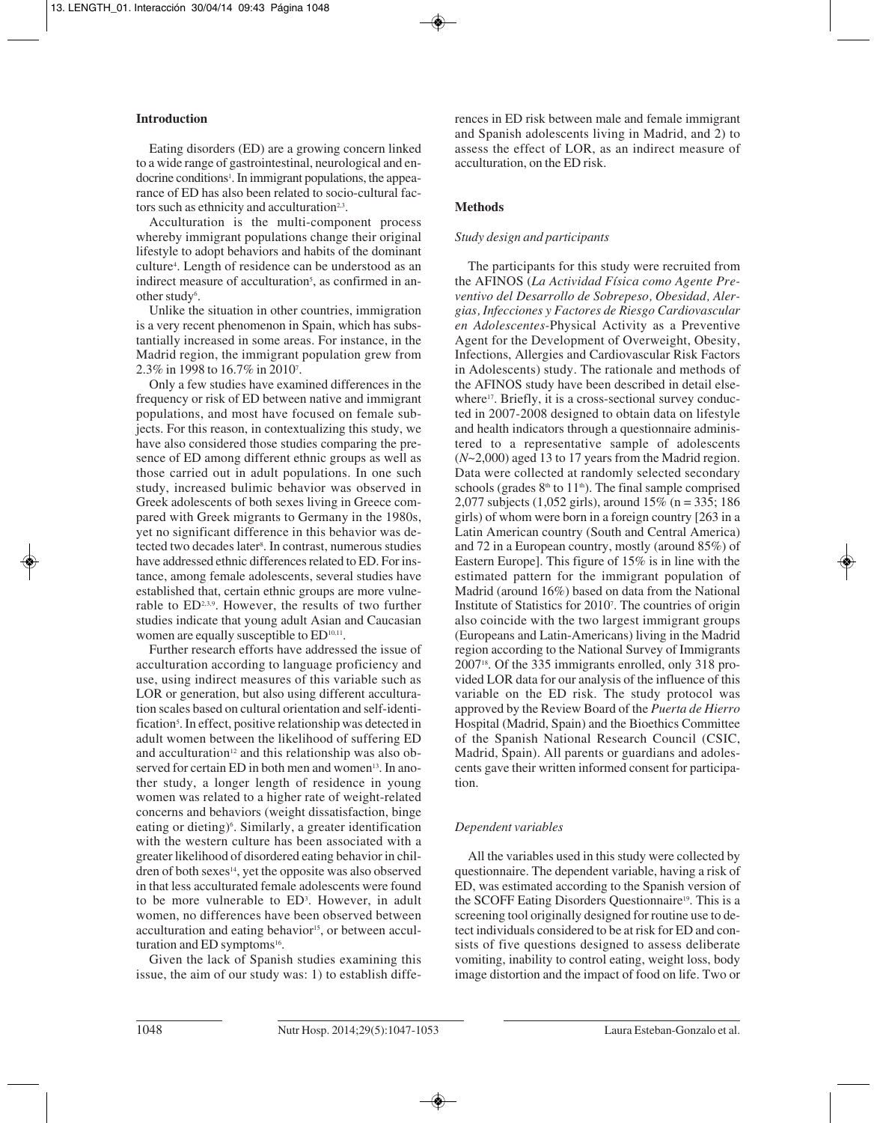# **Introduction**

Eating disorders (ED) are a growing concern linked to a wide range of gastrointestinal, neurological and endocrine conditions<sup>1</sup>. In immigrant populations, the appearance of ED has also been related to socio-cultural factors such as ethnicity and acculturation<sup>2,3</sup>.

Acculturation is the multi-component process whereby immigrant populations change their original lifestyle to adopt behaviors and habits of the dominant culture4 . Length of residence can be understood as an indirect measure of acculturation<sup>5</sup>, as confirmed in another study<sup>6</sup>.

Unlike the situation in other countries, immigration is a very recent phenomenon in Spain, which has substantially increased in some areas. For instance, in the Madrid region, the immigrant population grew from 2.3% in 1998 to 16.7% in 20107 .

Only a few studies have examined differences in the frequency or risk of ED between native and immigrant populations, and most have focused on female subjects. For this reason, in contextualizing this study, we have also considered those studies comparing the presence of ED among different ethnic groups as well as those carried out in adult populations. In one such study, increased bulimic behavior was observed in Greek adolescents of both sexes living in Greece compared with Greek migrants to Germany in the 1980s, yet no significant difference in this behavior was detected two decades later<sup>s</sup>. In contrast, numerous studies have addressed ethnic differences related to ED. For instance, among female adolescents, several studies have established that, certain ethnic groups are more vulnerable to ED2,3,9. However, the results of two further studies indicate that young adult Asian and Caucasian women are equally susceptible to ED<sup>10,11</sup>.

Further research efforts have addressed the issue of acculturation according to language proficiency and use, using indirect measures of this variable such as LOR or generation, but also using different acculturation scales based on cultural orientation and self-identification<sup>5</sup>. In effect, positive relationship was detected in adult women between the likelihood of suffering ED and acculturation $12$  and this relationship was also observed for certain ED in both men and women<sup>13</sup>. In another study, a longer length of residence in young women was related to a higher rate of weight-related concerns and behaviors (weight dissatisfaction, binge eating or dieting)<sup>6</sup>. Similarly, a greater identification with the western culture has been associated with a greater likelihood of disordered eating behavior in children of both sexes $14$ , yet the opposite was also observed in that less acculturated female adolescents were found to be more vulnerable to ED<sup>3</sup>. However, in adult women, no differences have been observed between acculturation and eating behavior<sup>15</sup>, or between acculturation and ED symptoms<sup>16</sup>.

Given the lack of Spanish studies examining this issue, the aim of our study was: 1) to establish differences in ED risk between male and female immigrant and Spanish adolescents living in Madrid, and 2) to assess the effect of LOR, as an indirect measure of acculturation, on the ED risk.

## **Methods**

## *Study design and participants*

The participants for this study were recruited from the AFINOS (*La Actividad Física como Agente Preventivo del Desarrollo de Sobrepeso, Obesidad, Alergias, Infecciones y Factores de Riesgo Cardiovascular en Adolescentes-*Physical Activity as a Preventive Agent for the Development of Overweight, Obesity, Infections, Allergies and Cardiovascular Risk Factors in Adolescents) study. The rationale and methods of the AFINOS study have been described in detail elsewhere<sup>17</sup>. Briefly, it is a cross-sectional survey conducted in 2007-2008 designed to obtain data on lifestyle and health indicators through a questionnaire administered to a representative sample of adolescents (*N*~2,000) aged 13 to 17 years from the Madrid region. Data were collected at randomly selected secondary schools (grades  $8<sup>th</sup>$  to 11<sup>th</sup>). The final sample comprised 2,077 subjects (1,052 girls), around 15% (n = 335; 186 girls) of whom were born in a foreign country [263 in a Latin American country (South and Central America) and 72 in a European country, mostly (around 85%) of Eastern Europe]. This figure of 15% is in line with the estimated pattern for the immigrant population of Madrid (around 16%) based on data from the National Institute of Statistics for 20107 . The countries of origin also coincide with the two largest immigrant groups (Europeans and Latin-Americans) living in the Madrid region according to the National Survey of Immigrants 200718. Of the 335 immigrants enrolled, only 318 provided LOR data for our analysis of the influence of this variable on the ED risk. The study protocol was approved by the Review Board of the *Puerta de Hierro* Hospital (Madrid, Spain) and the Bioethics Committee of the Spanish National Research Council (CSIC, Madrid, Spain). All parents or guardians and adolescents gave their written informed consent for participation.

# *Dependent variables*

All the variables used in this study were collected by questionnaire. The dependent variable, having a risk of ED, was estimated according to the Spanish version of the SCOFF Eating Disorders Questionnaire<sup>19</sup>. This is a screening tool originally designed for routine use to detect individuals considered to be at risk for ED and consists of five questions designed to assess deliberate vomiting, inability to control eating, weight loss, body image distortion and the impact of food on life. Two or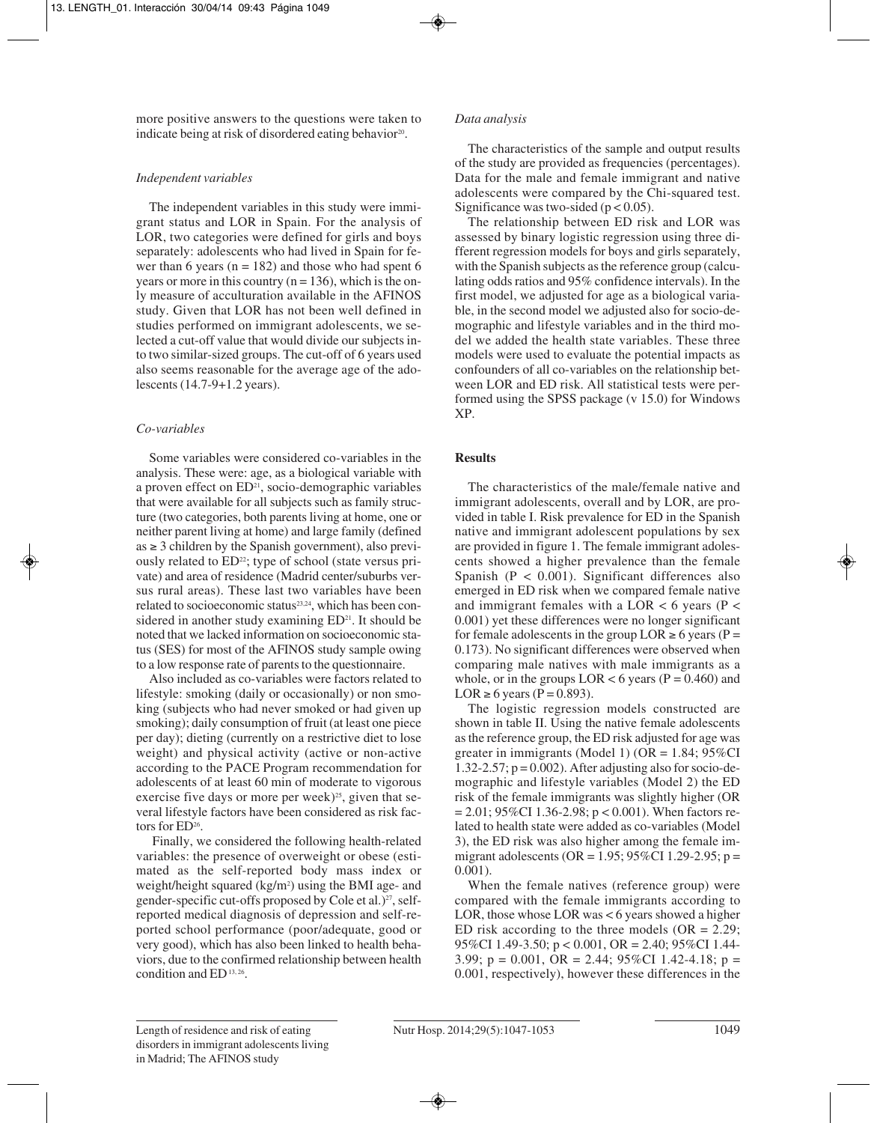more positive answers to the questions were taken to indicate being at risk of disordered eating behavior<sup>20</sup>.

# *Independent variables*

The independent variables in this study were immigrant status and LOR in Spain. For the analysis of LOR, two categories were defined for girls and boys separately: adolescents who had lived in Spain for fewer than 6 years ( $n = 182$ ) and those who had spent 6 years or more in this country  $(n = 136)$ , which is the only measure of acculturation available in the AFINOS study. Given that LOR has not been well defined in studies performed on immigrant adolescents, we selected a cut-off value that would divide our subjects into two similar-sized groups. The cut-off of 6 years used also seems reasonable for the average age of the adolescents (14.7-9+1.2 years).

# *Co-variables*

Some variables were considered co-variables in the analysis. These were: age, as a biological variable with a proven effect on  $ED<sup>21</sup>$ , socio-demographic variables that were available for all subjects such as family structure (two categories, both parents living at home, one or neither parent living at home) and large family (defined  $as \geq 3$  children by the Spanish government), also previously related to ED<sup>22</sup>; type of school (state versus private) and area of residence (Madrid center/suburbs versus rural areas). These last two variables have been related to socioeconomic status<sup>23,24</sup>, which has been considered in another study examining  $ED<sup>21</sup>$ . It should be noted that we lacked information on socioeconomic status (SES) for most of the AFINOS study sample owing to a low response rate of parents to the questionnaire.

Also included as co-variables were factors related to lifestyle: smoking (daily or occasionally) or non smoking (subjects who had never smoked or had given up smoking); daily consumption of fruit (at least one piece per day); dieting (currently on a restrictive diet to lose weight) and physical activity (active or non-active according to the PACE Program recommendation for adolescents of at least 60 min of moderate to vigorous exercise five days or more per week) $25$ , given that several lifestyle factors have been considered as risk factors for ED<sup>26</sup>.

Finally, we considered the following health-related variables: the presence of overweight or obese (estimated as the self-reported body mass index or weight/height squared (kg/m<sup>2</sup>) using the BMI age- and gender-specific cut-offs proposed by Cole et al.) $^{27}$ , selfreported medical diagnosis of depression and self-reported school performance (poor/adequate, good or very good), which has also been linked to health behaviors, due to the confirmed relationship between health condition and ED<sup>13, 26</sup>.

# *Data analysis*

The characteristics of the sample and output results of the study are provided as frequencies (percentages). Data for the male and female immigrant and native adolescents were compared by the Chi-squared test. Significance was two-sided ( $p < 0.05$ ).

The relationship between ED risk and LOR was assessed by binary logistic regression using three di fferent regression models for boys and girls separately, with the Spanish subjects as the reference group (calculating odds ratios and 95% confidence intervals). In the first model, we adjusted for age as a biological varia ble, in the second model we adjusted also for socio-demographic and lifestyle variables and in the third model we added the health state variables. These three models were used to evaluate the potential impacts as confounders of all co-variables on the relationship bet ween LOR and ED risk. All statistical tests were performed using the SPSS package (v 15.0) for Windows XP.

# **Results**

The characteristics of the male/female native and immigrant adolescents, overall and by LOR, are provided in table I. Risk prevalence for ED in the Spanish native and immigrant adolescent populations by sex are provided in figure 1. The female immigrant adolescents showed a higher prevalence than the female Spanish ( $P < 0.001$ ). Significant differences also emerged in ED risk when we compared female native and immigrant females with a LOR  $<$  6 years (P  $<$ 0.001) yet these differences were no longer significant for female adolescents in the group  $LOR \ge 6$  years (P = 0.173). No significant differences were observed when comparing male natives with male immigrants as a whole, or in the groups  $LOR < 6$  years (P = 0.460) and LOR  $\geq 6$  years (P = 0.893).

The logistic regression models constructed are shown in table II. Using the native female adolescents as the reference group, the ED risk adjusted for age was greater in immigrants (Model 1) ( $OR = 1.84$ ; 95%CI 1.32-2.57;  $p = 0.002$ ). After adjusting also for socio-demographic and lifestyle variables (Model 2) the ED risk of the female immigrants was slightly higher (OR = 2.01; 95%CI 1.36-2.98; p < 0.001). When factors related to health state were added as co-variables (Model 3), the ED risk was also higher among the female immigrant adolescents (OR = 1.95; 95%CI 1.29-2.95; p = 0.001).

When the female natives (reference group) were compared with the female immigrants according to LOR, those whose LOR was < 6 years showed a higher ED risk according to the three models ( $OR = 2.29$ ; 95%CI 1.49-3.50; p < 0.001, OR = 2.40; 95%CI 1.44- 3.99; p = 0.001, OR = 2.44; 95%CI 1.42-4.18; p = 0.001, respectively), however these differences in the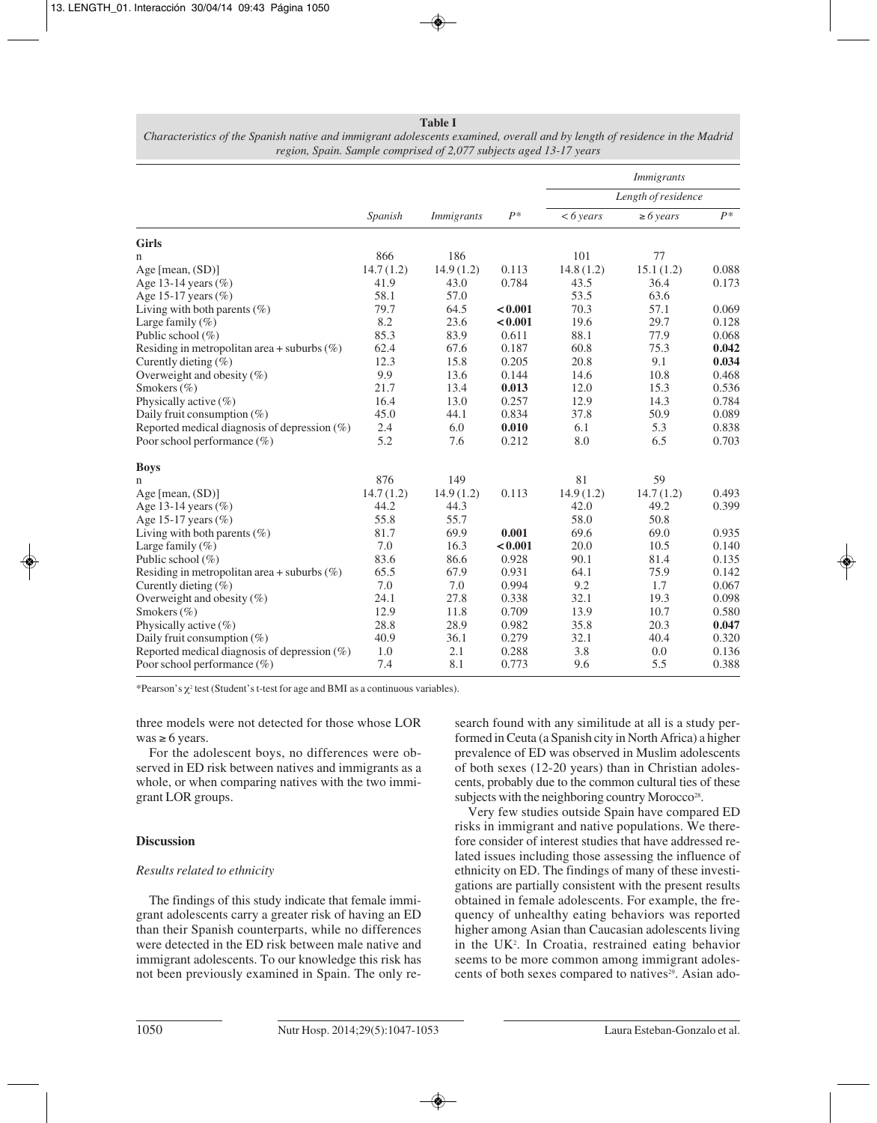#### **Table I**

|                                                 |           |                   |         | <i>Immigrants</i><br>Length of residence |                |       |  |
|-------------------------------------------------|-----------|-------------------|---------|------------------------------------------|----------------|-------|--|
|                                                 | Spanish   |                   |         |                                          |                |       |  |
|                                                 |           | <i>Immigrants</i> | $P^*$   | $<6$ years                               | $\geq 6$ years | $P^*$ |  |
| <b>Girls</b>                                    |           |                   |         |                                          |                |       |  |
| n                                               | 866       | 186               |         | 101                                      | 77             |       |  |
| Age [mean, $(SD)$ ]                             | 14.7(1.2) | 14.9(1.2)         | 0.113   | 14.8(1.2)                                | 15.1(1.2)      | 0.088 |  |
| Age 13-14 years $(\%)$                          | 41.9      | 43.0              | 0.784   | 43.5                                     | 36.4           | 0.173 |  |
| Age 15-17 years $(\%)$                          | 58.1      | 57.0              |         | 53.5                                     | 63.6           |       |  |
| Living with both parents $(\%)$                 | 79.7      | 64.5              | < 0.001 | 70.3                                     | 57.1           | 0.069 |  |
| Large family $(\%)$                             | 8.2       | 23.6              | < 0.001 | 19.6                                     | 29.7           | 0.128 |  |
| Public school (%)                               | 85.3      | 83.9              | 0.611   | 88.1                                     | 77.9           | 0.068 |  |
| Residing in metropolitan area + suburbs $(\%)$  | 62.4      | 67.6              | 0.187   | 60.8                                     | 75.3           | 0.042 |  |
| Curently dieting $(\%)$                         | 12.3      | 15.8              | 0.205   | 20.8                                     | 9.1            | 0.034 |  |
| Overweight and obesity $(\%)$                   | 9.9       | 13.6              | 0.144   | 14.6                                     | 10.8           | 0.468 |  |
| Smokers $(\% )$                                 | 21.7      | 13.4              | 0.013   | 12.0                                     | 15.3           | 0.536 |  |
| Physically active $(\%)$                        | 16.4      | 13.0              | 0.257   | 12.9                                     | 14.3           | 0.784 |  |
| Daily fruit consumption $(\%)$                  | 45.0      | 44.1              | 0.834   | 37.8                                     | 50.9           | 0.089 |  |
| Reported medical diagnosis of depression $(\%)$ | 2.4       | 6.0               | 0.010   | 6.1                                      | 5.3            | 0.838 |  |
| Poor school performance (%)                     | 5.2       | 7.6               | 0.212   | 8.0                                      | 6.5            | 0.703 |  |
| <b>Boys</b>                                     |           |                   |         |                                          |                |       |  |
| n                                               | 876       | 149               |         | 81                                       | 59             |       |  |
| Age [mean, $(SD)$ ]                             | 14.7(1.2) | 14.9(1.2)         | 0.113   | 14.9(1.2)                                | 14.7(1.2)      | 0.493 |  |
| Age 13-14 years $(\%)$                          | 44.2      | 44.3              |         | 42.0                                     | 49.2           | 0.399 |  |
| Age 15-17 years $(\%)$                          | 55.8      | 55.7              |         | 58.0                                     | 50.8           |       |  |
| Living with both parents $(\%)$                 | 81.7      | 69.9              | 0.001   | 69.6                                     | 69.0           | 0.935 |  |
| Large family $(\%)$                             | 7.0       | 16.3              | < 0.001 | 20.0                                     | 10.5           | 0.140 |  |
| Public school (%)                               | 83.6      | 86.6              | 0.928   | 90.1                                     | 81.4           | 0.135 |  |
| Residing in metropolitan area + suburbs $(\%)$  | 65.5      | 67.9              | 0.931   | 64.1                                     | 75.9           | 0.142 |  |
| Curently dieting $(\%)$                         | 7.0       | 7.0               | 0.994   | 9.2                                      | 1.7            | 0.067 |  |
| Overweight and obesity $(\%)$                   | 24.1      | 27.8              | 0.338   | 32.1                                     | 19.3           | 0.098 |  |
| Smokers $(\% )$                                 | 12.9      | 11.8              | 0.709   | 13.9                                     | 10.7           | 0.580 |  |
| Physically active $(\%)$                        | 28.8      | 28.9              | 0.982   | 35.8                                     | 20.3           | 0.047 |  |
| Daily fruit consumption $(\%)$                  | 40.9      | 36.1              | 0.279   | 32.1                                     | 40.4           | 0.320 |  |
| Reported medical diagnosis of depression $(\%)$ | 1.0       | 2.1               | 0.288   | 3.8                                      | 0.0            | 0.136 |  |
| Poor school performance (%)                     | 7.4       | 8.1               | 0.773   | 9.6                                      | 5.5            | 0.388 |  |

*Characteristics of the Spanish native and immigrant adolescents examined, overall and by length of residence in the Madrid region, Spain. Sample comprised of 2,077 subjects aged 13-17 years*

\*Pearson's χ<sup>2</sup> test (Student's t-test for age and BMI as a continuous variables).

three models were not detected for those whose LOR was  $\geq 6$  years.

For the adolescent boys, no differences were observed in ED risk between natives and immigrants as a whole, or when comparing natives with the two immigrant LOR groups.

### **Discussion**

### *Results related to ethnicity*

The findings of this study indicate that female immigrant adolescents carry a greater risk of having an ED than their Spanish counterparts, while no differences were detected in the ED risk between male native and immigrant adolescents. To our knowledge this risk has not been previously examined in Spain. The only research found with any similitude at all is a study performed in Ceuta (a Spanish city in North Africa) a higher prevalence of ED was observed in Muslim adolescents of both sexes (12-20 years) than in Christian adolescents, probably due to the common cultural ties of these subjects with the neighboring country Morocco<sup>28</sup>.

Very few studies outside Spain have compared ED risks in immigrant and native populations. We therefore consider of interest studies that have addressed related issues including those assessing the influence of ethnicity on ED. The findings of many of these investigations are partially consistent with the present results obtained in female adolescents. For example, the frequency of unhealthy eating behaviors was reported higher among Asian than Caucasian adolescents living in the UK<sup>2</sup>. In Croatia, restrained eating behavior seems to be more common among immigrant adolescents of both sexes compared to natives<sup>29</sup>. Asian ado-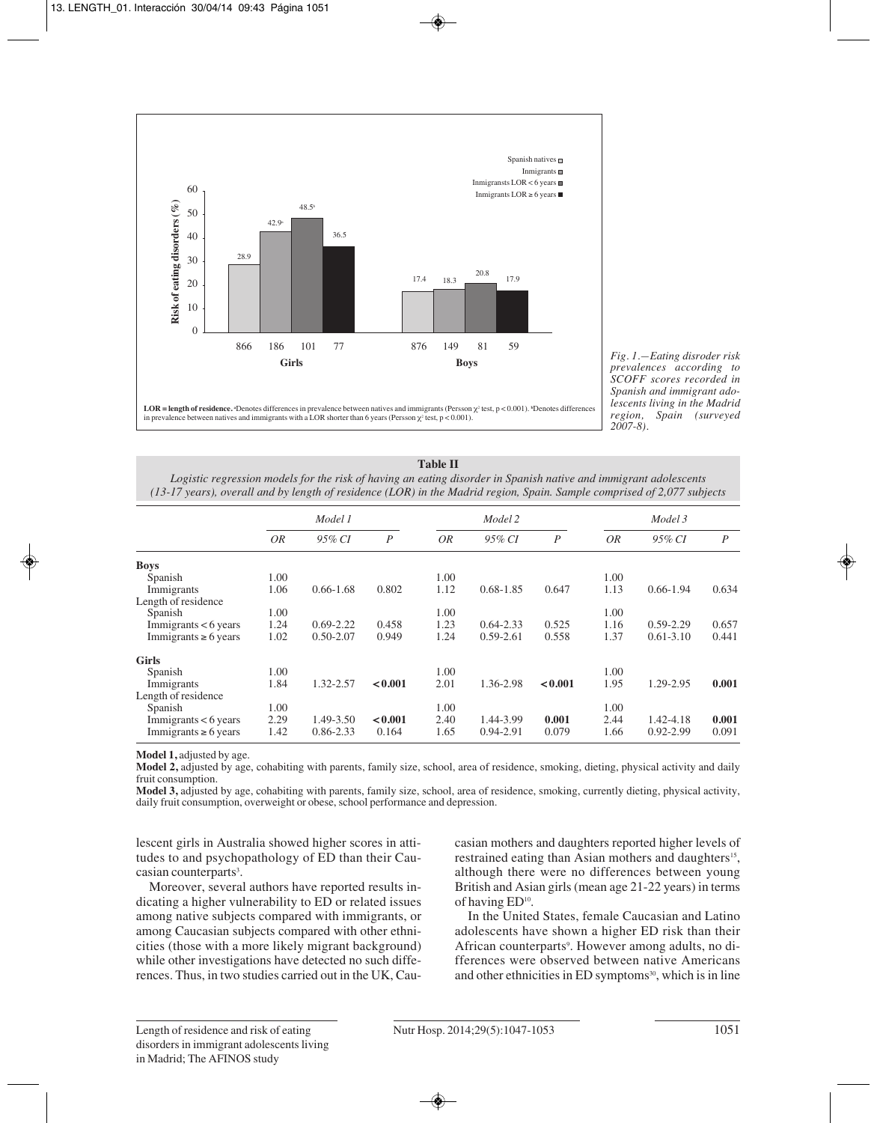

*Fig. 1.—Eating disroder risk prevalences according to SCOFF scores recorded in Spanish and immigrant adolescents living in the Madrid region, Spain (surveyed 2007-8).*

**Table II** *Logistic regression models for the risk of having an eating disorder in Spanish native and immigrant adolescents (13-17 years), overall and by length of residence (LOR) in the Madrid region, Spain. Sample comprised of 2,077 subjects*

|                           |           | Model 1       |                  |           | Model 2       |                |      | Model 3       |                |  |
|---------------------------|-----------|---------------|------------------|-----------|---------------|----------------|------|---------------|----------------|--|
|                           | <i>OR</i> | 95% CI        | $\boldsymbol{P}$ | <i>OR</i> | 95% CI        | $\overline{P}$ | 0R   | 95% CI        | $\overline{P}$ |  |
| <b>Boys</b>               |           |               |                  |           |               |                |      |               |                |  |
| Spanish                   | 1.00      |               |                  | 1.00      |               |                | 1.00 |               |                |  |
| Immigrants                | 1.06      | $0.66 - 1.68$ | 0.802            | 1.12      | $0.68 - 1.85$ | 0.647          | 1.13 | $0.66 - 1.94$ | 0.634          |  |
| Length of residence       |           |               |                  |           |               |                |      |               |                |  |
| Spanish                   | 1.00      |               |                  | 1.00      |               |                | 1.00 |               |                |  |
| Immigrants $< 6$ years    | 1.24      | $0.69 - 2.22$ | 0.458            | 1.23      | $0.64 - 2.33$ | 0.525          | 1.16 | $0.59 - 2.29$ | 0.657          |  |
| Immigrants $\geq 6$ years | 1.02      | $0.50 - 2.07$ | 0.949            | 1.24      | $0.59 - 2.61$ | 0.558          | 1.37 | $0.61 - 3.10$ | 0.441          |  |
| <b>Girls</b>              |           |               |                  |           |               |                |      |               |                |  |
| Spanish                   | 1.00      |               |                  | 1.00      |               |                | 1.00 |               |                |  |
| Immigrants                | 1.84      | 1.32-2.57     | < 0.001          | 2.01      | 1.36-2.98     | < 0.001        | 1.95 | 1.29-2.95     | 0.001          |  |
| Length of residence       |           |               |                  |           |               |                |      |               |                |  |
| Spanish                   | 1.00      |               |                  | 1.00      |               |                | 1.00 |               |                |  |
| Immigrants $< 6$ years    | 2.29      | 1.49-3.50     | < 0.001          | 2.40      | 1.44-3.99     | 0.001          | 2.44 | 1.42-4.18     | 0.001          |  |
| Immigrants $\geq 6$ years | 1.42      | $0.86 - 2.33$ | 0.164            | 1.65      | 0.94-2.91     | 0.079          | 1.66 | $0.92 - 2.99$ | 0.091          |  |

**Model 1,** adjusted by age.

**Model 2,** adjusted by age, cohabiting with parents, family size, school, area of residence, smoking, dieting, physical activity and daily fruit consumption.

**Model 3,** adjusted by age, cohabiting with parents, family size, school, area of residence, smoking, currently dieting, physical activity, daily fruit consumption, overweight or obese, school performance and depression.

lescent girls in Australia showed higher scores in attitudes to and psychopathology of ED than their Caucasian counterparts<sup>3</sup>.

Moreover, several authors have reported results indicating a higher vulnerability to ED or related issues among native subjects compared with immigrants, or among Caucasian subjects compared with other ethni cities (those with a more likely migrant background) while other investigations have detected no such differences. Thus, in two studies carried out in the UK, Caucasian mothers and daughters reported higher levels of restrained eating than Asian mothers and daughters<sup>15</sup>, although there were no differences between young British and Asian girls (mean age 21-22 years) in terms of having ED10.

In the United States, female Caucasian and Latino adolescents have shown a higher ED risk than their African counterparts<sup>9</sup>. However among adults, no differences were observed between native Americans and other ethnicities in ED symptoms<sup>30</sup>, which is in line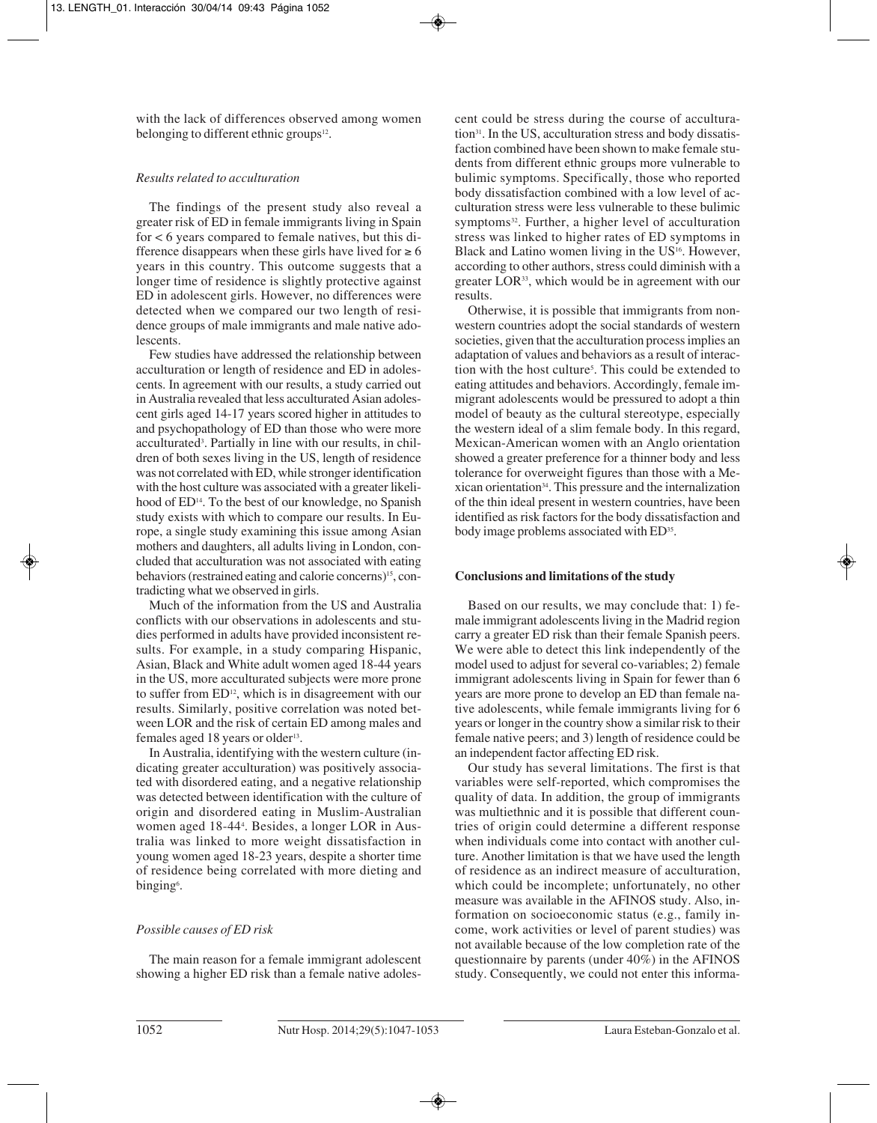with the lack of differences observed among women belonging to different ethnic groups<sup>12</sup>.

## *Results related to acculturation*

The findings of the present study also reveal a greater risk of ED in female immigrants living in Spain for  $< 6$  years compared to female natives, but this difference disappears when these girls have lived for  $\geq 6$ years in this country. This outcome suggests that a longer time of residence is slightly protective against ED in adolescent girls. However, no differences were detected when we compared our two length of residence groups of male immigrants and male native adolescents.

Few studies have addressed the relationship between acculturation or length of residence and ED in adolescents. In agreement with our results, a study carried out in Australia revealed that less acculturated Asian adolescent girls aged 14-17 years scored higher in attitudes to and psychopathology of ED than those who were more acculturated3 . Partially in line with our results, in children of both sexes living in the US, length of residence was not correlated with ED, while stronger identification with the host culture was associated with a greater likelihood of ED<sup>14</sup>. To the best of our knowledge, no Spanish study exists with which to compare our results. In Europe, a single study examining this issue among Asian mothers and daughters, all adults living in London, concluded that acculturation was not associated with eating behaviors (restrained eating and calorie concerns)15, contradicting what we observed in girls.

Much of the information from the US and Australia conflicts with our observations in adolescents and studies performed in adults have provided inconsistent results. For example, in a study comparing Hispanic, Asian, Black and White adult women aged 18-44 years in the US, more acculturated subjects were more prone to suffer from ED<sup>12</sup>, which is in disagreement with our results. Similarly, positive correlation was noted bet ween LOR and the risk of certain ED among males and females aged 18 years or older<sup>13</sup>.

In Australia, identifying with the western culture (indicating greater acculturation) was positively associa ted with disordered eating, and a negative relationship was detected between identification with the culture of origin and disordered eating in Muslim-Australian women aged 18-444 . Besides, a longer LOR in Australia was linked to more weight dissatisfaction in young women aged 18-23 years, despite a shorter time of residence being correlated with more dieting and binging<sup>6</sup>.

# *Possible causes of ED risk*

The main reason for a female immigrant adolescent showing a higher ED risk than a female native adolescent could be stress during the course of acculturation<sup>31</sup>. In the US, acculturation stress and body dissatisfaction combined have been shown to make female students from different ethnic groups more vulnerable to bulimic symptoms. Specifically, those who reported body dissatisfaction combined with a low level of acculturation stress were less vulnerable to these bulimic symptoms<sup>32</sup>. Further, a higher level of acculturation stress was linked to higher rates of ED symptoms in Black and Latino women living in the US<sup>16</sup>. However, according to other authors, stress could diminish with a greater LOR33, which would be in agreement with our results.

Otherwise, it is possible that immigrants from nonwestern countries adopt the social standards of western societies, given that the acculturation process implies an adaptation of values and behaviors as a result of interaction with the host culture<sup>5</sup>. This could be extended to eating attitudes and behaviors. Accordingly, female immigrant adolescents would be pressured to adopt a thin model of beauty as the cultural stereotype, especially the western ideal of a slim female body. In this regard, Mexican-American women with an Anglo orientation showed a greater preference for a thinner body and less tolerance for overweight figures than those with a Me xican orientation34. This pressure and the internalization of the thin ideal present in western countries, have been identified as risk factors for the body dissatisfaction and body image problems associated with ED<sup>35</sup>.

# **Conclusions and limitations of the study**

Based on our results, we may conclude that: 1) female immigrant adolescents living in the Madrid region carry a greater ED risk than their female Spanish peers. We were able to detect this link independently of the model used to adjust for several co-variables; 2) female immigrant adolescents living in Spain for fewer than 6 years are more prone to develop an ED than female native adolescents, while female immigrants living for 6 years or longer in the country show a similar risk to their female native peers; and 3) length of residence could be an independent factor affecting ED risk.

Our study has several limitations. The first is that variables were self-reported, which compromises the quality of data. In addition, the group of immigrants was multiethnic and it is possible that different countries of origin could determine a different response when individuals come into contact with another culture. Another limitation is that we have used the length of residence as an indirect measure of acculturation, which could be incomplete; unfortunately, no other measure was available in the AFINOS study. Also, information on socioeconomic status (e.g., family income, work activities or level of parent studies) was not available because of the low completion rate of the questionnaire by parents (under 40%) in the AFINOS study. Consequently, we could not enter this informa